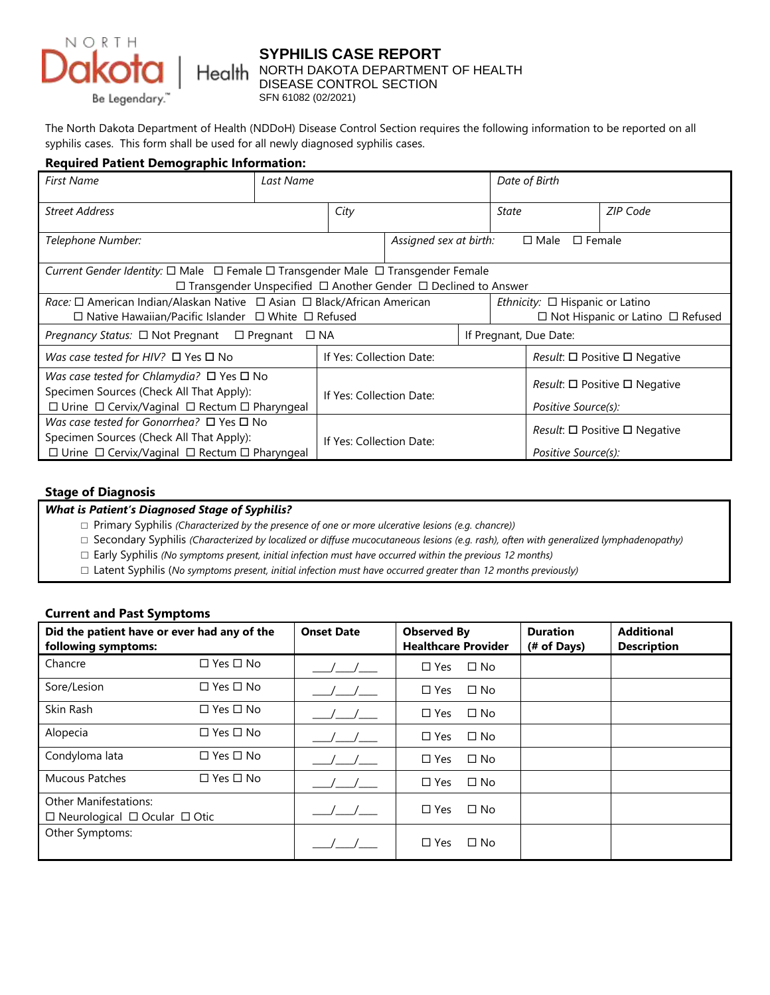

# **SYPHILIS CASE REPORT North DAKOTA DEPARTMENT OF HEALTH CONTROL SECTION**

The North Dakota Department of Health (NDDoH) Disease Control Section requires the following information to be reported on all syphilis cases. This form shall be used for all newly diagnosed syphilis cases.

### **Required Patient Demographic Information:**

| <b>First Name</b>                                                                                    | Last Name |                          |                                                        |                                                | Date of Birth                                  |                                              |  |  |  |
|------------------------------------------------------------------------------------------------------|-----------|--------------------------|--------------------------------------------------------|------------------------------------------------|------------------------------------------------|----------------------------------------------|--|--|--|
| <b>Street Address</b>                                                                                |           | City                     |                                                        | State                                          |                                                | ZIP Code                                     |  |  |  |
| Telephone Number:                                                                                    |           |                          | Assigned sex at birth:<br>$\Box$ Female<br>$\Box$ Male |                                                |                                                |                                              |  |  |  |
| Current Gender Identity: $\Box$ Male $\Box$ Female $\Box$ Transgender Male $\Box$ Transgender Female |           |                          |                                                        |                                                |                                                |                                              |  |  |  |
| $\Box$ Transgender Unspecified $\Box$ Another Gender $\Box$ Declined to Answer                       |           |                          |                                                        |                                                |                                                |                                              |  |  |  |
| Race: □ American Indian/Alaskan Native □ Asian □ Black/African American                              |           |                          | Ethnicity: $\Box$ Hispanic or Latino                   |                                                |                                                |                                              |  |  |  |
| $\Box$ Native Hawaiian/Pacific Islander $\Box$ White $\Box$ Refused                                  |           |                          |                                                        |                                                |                                                | $\Box$ Not Hispanic or Latino $\Box$ Refused |  |  |  |
| <i>Pregnancy Status:</i> $\Box$ Not Pregnant $\Box$ Pregnant<br>$\square$ NA                         |           |                          |                                                        |                                                |                                                | If Pregnant, Due Date:                       |  |  |  |
| If Yes: Collection Date:<br>Was case tested for HIV? $\square$ Yes $\square$ No                      |           |                          |                                                        | <i>Result:</i> $\Box$ Positive $\Box$ Negative |                                                |                                              |  |  |  |
| Was case tested for Chlamydia? $\Box$ Yes $\Box$ No                                                  |           | If Yes: Collection Date: |                                                        |                                                |                                                |                                              |  |  |  |
| Specimen Sources (Check All That Apply):                                                             |           |                          |                                                        |                                                | <i>Result:</i> $\Box$ Positive $\Box$ Negative |                                              |  |  |  |
| $\Box$ Urine $\Box$ Cervix/Vaginal $\Box$ Rectum $\Box$ Pharyngeal                                   |           |                          | Positive Source(s):                                    |                                                |                                                |                                              |  |  |  |
| Was case tested for Gonorrhea? $\Box$ Yes $\Box$ No                                                  |           | If Yes: Collection Date: |                                                        |                                                |                                                |                                              |  |  |  |
| Specimen Sources (Check All That Apply):                                                             |           |                          |                                                        |                                                | <i>Result:</i> $\Box$ Positive $\Box$ Negative |                                              |  |  |  |
| $\Box$ Urine $\Box$ Cervix/Vaginal $\Box$ Rectum $\Box$ Pharyngeal                                   |           |                          |                                                        |                                                |                                                | Positive Source(s):                          |  |  |  |

#### **Stage of Diagnosis**

#### *What is Patient's Diagnosed Stage of Syphilis?*

- □ Primary Syphilis *(Characterized by the presence of one or more ulcerative lesions (e.g. chancre))*
- □ Secondary Syphilis *(Characterized by localized or diffuse mucocutaneous lesions (e.g. rash), often with generalized lymphadenopathy)*
- □ Early Syphilis *(No symptoms present, initial infection must have occurred within the previous 12 months)*
- □ Latent Syphilis (*No symptoms present, initial infection must have occurred greater than 12 months previously)*

#### **Current and Past Symptoms**

| Did the patient have or ever had any of the<br>following symptoms:            |                      | <b>Onset Date</b> | <b>Observed By</b><br><b>Healthcare Provider</b> | <b>Duration</b><br>(# of Days) | <b>Additional</b><br><b>Description</b> |
|-------------------------------------------------------------------------------|----------------------|-------------------|--------------------------------------------------|--------------------------------|-----------------------------------------|
| Chancre                                                                       | $\Box$ Yes $\Box$ No |                   | $\square$ No<br>$\Box$ Yes                       |                                |                                         |
| Sore/Lesion                                                                   | $\Box$ Yes $\Box$ No |                   | $\Box$ No<br>$\square$ Yes                       |                                |                                         |
| Skin Rash                                                                     | $\Box$ Yes $\Box$ No |                   | $\square$ No<br>$\square$ Yes                    |                                |                                         |
| Alopecia                                                                      | $\Box$ Yes $\Box$ No |                   | $\Box$ No<br>$\square$ Yes                       |                                |                                         |
| Condyloma lata                                                                | $\Box$ Yes $\Box$ No |                   | $\square$ No<br>$\square$ Yes                    |                                |                                         |
| <b>Mucous Patches</b>                                                         | $\Box$ Yes $\Box$ No |                   | $\square$ No<br>$\Box$ Yes                       |                                |                                         |
| <b>Other Manifestations:</b><br>$\Box$ Neurological $\Box$ Ocular $\Box$ Otic |                      |                   | $\Box$ No<br>$\square$ Yes                       |                                |                                         |
| Other Symptoms:                                                               |                      |                   | $\square$ No<br>$\square$ Yes                    |                                |                                         |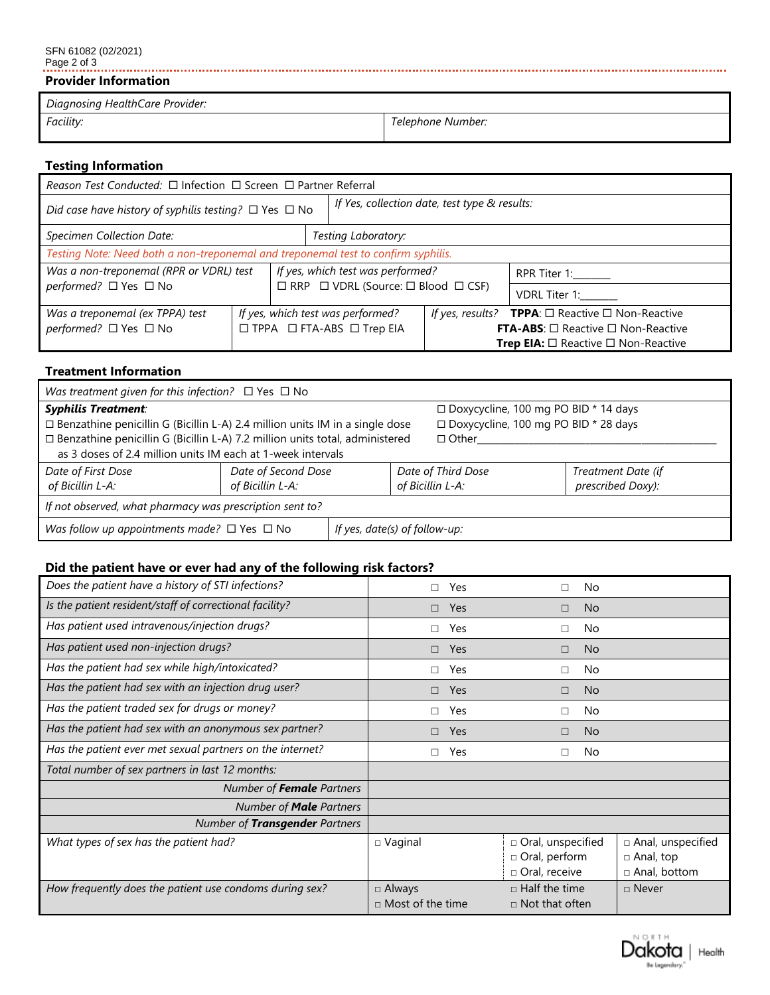# SFN 61082 (02/2021) Page 2 of 3

## **Provider Information**

| Diagnosing HealthCare Provider: |                   |
|---------------------------------|-------------------|
| Facility:                       | Telephone Number: |

# **Testing Information**

| Reason Test Conducted: □ Infection □ Screen □ Partner Referral                    |                                   |                                                          |                                                                    |                                                      |  |
|-----------------------------------------------------------------------------------|-----------------------------------|----------------------------------------------------------|--------------------------------------------------------------------|------------------------------------------------------|--|
| Did case have history of syphilis testing? $\Box$ Yes $\Box$ No                   |                                   |                                                          | If Yes, collection date, test type & results:                      |                                                      |  |
| Specimen Collection Date:<br>Testing Laboratory:                                  |                                   |                                                          |                                                                    |                                                      |  |
| Testing Note: Need both a non-treponemal and treponemal test to confirm syphilis. |                                   |                                                          |                                                                    |                                                      |  |
| Was a non-treponemal (RPR or VDRL) test                                           |                                   | If yes, which test was performed?                        |                                                                    | RPR Titer 1:______                                   |  |
| performed? □ Yes □ No                                                             |                                   | $\Box$ RRP $\Box$ VDRL (Source: $\Box$ Blood $\Box$ CSF) |                                                                    | VDRL Titer 1:                                        |  |
| Was a treponemal (ex TPPA) test                                                   | If yes, which test was performed? |                                                          | If yes, results? <b>TPPA</b> : $\Box$ Reactive $\Box$ Non-Reactive |                                                      |  |
| performed? □ Yes □ No                                                             | □ TPPA □ FTA-ABS □ Trep EIA       |                                                          | <b>FTA-ABS:</b> $\Box$ Reactive $\Box$ Non-Reactive                |                                                      |  |
|                                                                                   |                                   |                                                          |                                                                    | <b>Trep EIA:</b> $\Box$ Reactive $\Box$ Non-Reactive |  |

## **Treatment Information**

| Was treatment given for this infection? $\Box$ Yes $\Box$ No                                                                                                                                                                                                       |                                         |  |                                        |                                                                                                  |                                         |  |  |
|--------------------------------------------------------------------------------------------------------------------------------------------------------------------------------------------------------------------------------------------------------------------|-----------------------------------------|--|----------------------------------------|--------------------------------------------------------------------------------------------------|-----------------------------------------|--|--|
| <b>Syphilis Treatment:</b><br>$\Box$ Benzathine penicillin G (Bicillin L-A) 2.4 million units IM in a single dose<br>□ Benzathine penicillin G (Bicillin L-A) 7.2 million units total, administered<br>as 3 doses of 2.4 million units IM each at 1-week intervals |                                         |  |                                        | □ Doxycycline, 100 mg PO BID * 14 days<br>□ Doxycycline, 100 mg PO BID * 28 days<br>$\Box$ Other |                                         |  |  |
| Date of First Dose<br>of Bicillin L-A:                                                                                                                                                                                                                             | Date of Second Dose<br>of Bicillin L-A: |  | Date of Third Dose<br>of Bicillin L-A: |                                                                                                  | Treatment Date (if<br>prescribed Doxy): |  |  |
| If not observed, what pharmacy was prescription sent to?                                                                                                                                                                                                           |                                         |  |                                        |                                                                                                  |                                         |  |  |
| Was follow up appointments made? $\Box$ Yes $\Box$ No                                                                                                                                                                                                              | If yes, date(s) of follow-up:           |  |                                        |                                                                                                  |                                         |  |  |

# **Did the patient have or ever had any of the following risk factors?**

| Does the patient have a history of STI infections?        | п                       | Yes        |                       | No        |                     |
|-----------------------------------------------------------|-------------------------|------------|-----------------------|-----------|---------------------|
| Is the patient resident/staff of correctional facility?   | $\Box$                  | Yes        | $\Box$                | <b>No</b> |                     |
| Has patient used intravenous/injection drugs?             | П                       | Yes        | П                     | No        |                     |
| Has patient used non-injection drugs?                     | $\Box$                  | <b>Yes</b> | $\Box$                | <b>No</b> |                     |
| Has the patient had sex while high/intoxicated?           | П                       | Yes        | П                     | No        |                     |
| Has the patient had sex with an injection drug user?      | $\Box$                  | <b>Yes</b> | $\Box$                | <b>No</b> |                     |
| Has the patient traded sex for drugs or money?            | П                       | Yes        | п                     | No        |                     |
| Has the patient had sex with an anonymous sex partner?    | $\Box$                  | <b>Yes</b> | $\Box$                | <b>No</b> |                     |
| Has the patient ever met sexual partners on the internet? | П                       | Yes        | П                     | No        |                     |
| Total number of sex partners in last 12 months:           |                         |            |                       |           |                     |
| Number of <b>Female</b> Partners                          |                         |            |                       |           |                     |
| Number of <b>Male</b> Partners                            |                         |            |                       |           |                     |
| Number of Transgender Partners                            |                         |            |                       |           |                     |
| What types of sex has the patient had?                    | $\Box$ Vaginal          |            | □ Oral, unspecified   |           | □ Anal, unspecified |
|                                                           |                         |            | □ Oral, perform       |           | $\Box$ Anal, top    |
|                                                           |                         |            | □ Oral, receive       |           | $\Box$ Anal, bottom |
| How frequently does the patient use condoms during sex?   | □ Always                |            | $\Box$ Half the time  |           | $\Box$ Never        |
|                                                           | $\Box$ Most of the time |            | $\Box$ Not that often |           |                     |